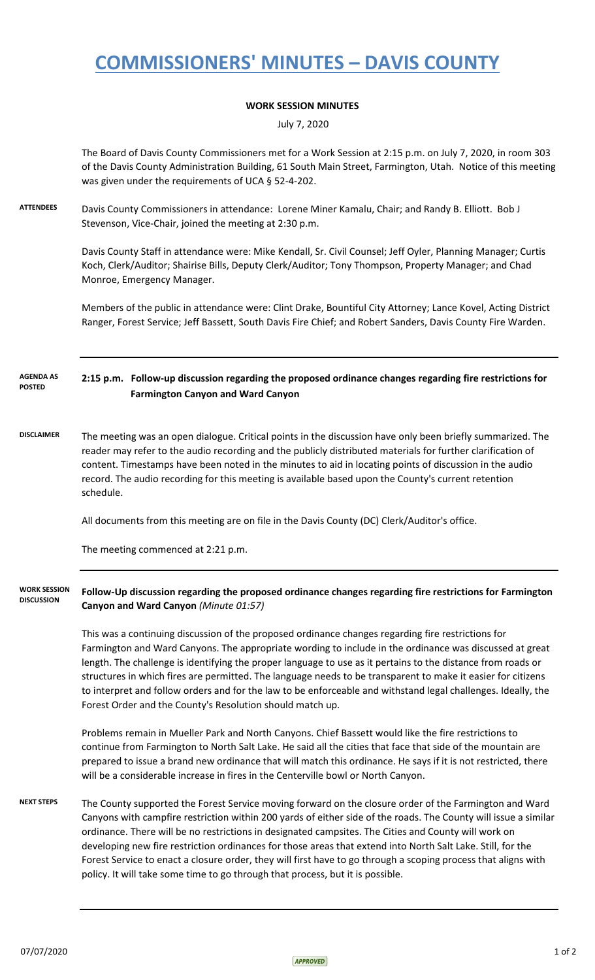## **COMMISSIONERS' MINUTES – DAVIS COUNTY**

## **WORK SESSION MINUTES**

July 7, 2020

The Board of Davis County Commissioners met for a Work Session at 2:15 p.m. on July 7, 2020, in room 303 of the Davis County Administration Building, 61 South Main Street, Farmington, Utah. Notice of this meeting was given under the requirements of UCA § 52-4-202.

**ATTENDEES** Davis County Commissioners in attendance: Lorene Miner Kamalu, Chair; and Randy B. Elliott. Bob J Stevenson, Vice-Chair, joined the meeting at 2:30 p.m.

> Davis County Staff in attendance were: Mike Kendall, Sr. Civil Counsel; Jeff Oyler, Planning Manager; Curtis Koch, Clerk/Auditor; Shairise Bills, Deputy Clerk/Auditor; Tony Thompson, Property Manager; and Chad Monroe, Emergency Manager.

Members of the public in attendance were: Clint Drake, Bountiful City Attorney; Lance Kovel, Acting District Ranger, Forest Service; Jeff Bassett, South Davis Fire Chief; and Robert Sanders, Davis County Fire Warden.

**2:15 p.m. Follow-up discussion regarding the proposed ordinance changes regarding fire restrictions for Farmington Canyon and Ward Canyon AGENDA AS POSTED**

**DISCLAIMER** The meeting was an open dialogue. Critical points in the discussion have only been briefly summarized. The reader may refer to the audio recording and the publicly distributed materials for further clarification of content. Timestamps have been noted in the minutes to aid in locating points of discussion in the audio record. The audio recording for this meeting is available based upon the County's current retention schedule.

All documents from this meeting are on file in the Davis County (DC) Clerk/Auditor's office.

The meeting commenced at 2:21 p.m.

## **Follow-Up discussion regarding the proposed ordinance changes regarding fire restrictions for Farmington Canyon and Ward Canyon** *(Minute 01:57)* **WORK SESSION DISCUSSION**

This was a continuing discussion of the proposed ordinance changes regarding fire restrictions for Farmington and Ward Canyons. The appropriate wording to include in the ordinance was discussed at great length. The challenge is identifying the proper language to use as it pertains to the distance from roads or structures in which fires are permitted. The language needs to be transparent to make it easier for citizens to interpret and follow orders and for the law to be enforceable and withstand legal challenges. Ideally, the Forest Order and the County's Resolution should match up.

Problems remain in Mueller Park and North Canyons. Chief Bassett would like the fire restrictions to continue from Farmington to North Salt Lake. He said all the cities that face that side of the mountain are prepared to issue a brand new ordinance that will match this ordinance. He says if it is not restricted, there will be a considerable increase in fires in the Centerville bowl or North Canyon.

**NEXT STEPS** The County supported the Forest Service moving forward on the closure order of the Farmington and Ward Canyons with campfire restriction within 200 yards of either side of the roads. The County will issue a similar ordinance. There will be no restrictions in designated campsites. The Cities and County will work on developing new fire restriction ordinances for those areas that extend into North Salt Lake. Still, for the Forest Service to enact a closure order, they will first have to go through a scoping process that aligns with policy. It will take some time to go through that process, but it is possible.